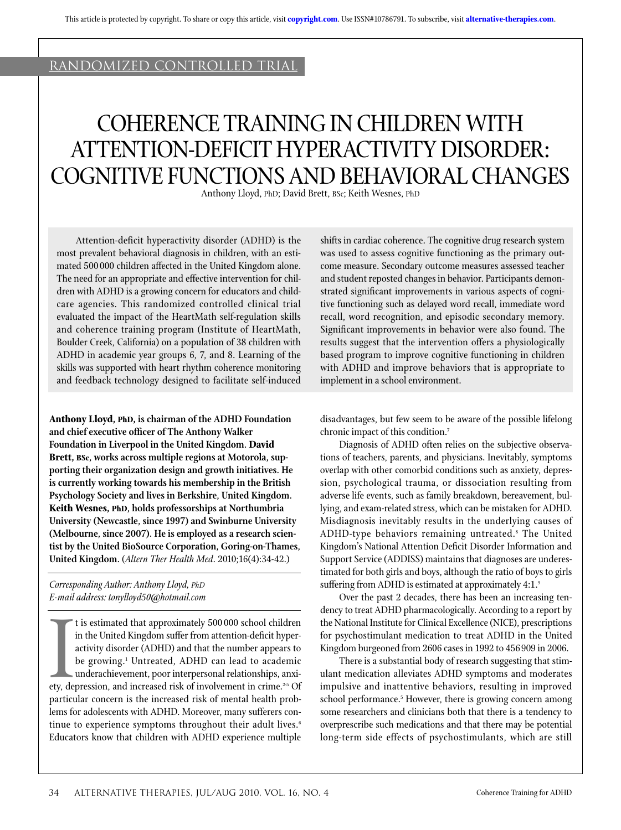# randomized controlLED trial

# Coherence Training In Children With Attention-Deficit Hyperactivity Disorder: Cognitive Functionsand Behavioral Changes

Anthony Lloyd, PhD; David Brett, BSc; Keith Wesnes, PhD

Attention-deficit hyperactivity disorder (ADHD) is the most prevalent behavioral diagnosis in children, with an estimated 500000 children affected in the United Kingdom alone. The need for an appropriate and effective intervention for children with ADHD is a growing concern for educators and childcare agencies. This randomized controlled clinical trial evaluated the impact of the HeartMath self-regulation skills and coherence training program (Institute of HeartMath, Boulder Creek, California) on a population of 38 children with ADHD in academic year groups 6, 7, and 8. Learning of the skills was supported with heart rhythm coherence monitoring and feedback technology designed to facilitate self-induced

**Anthony Lloyd, PhD, is chairman of the ADHD Foundation and chief executive officer of The Anthony Walker Foundation in Liverpool in the United Kingdom. David Brett, BSc, works across multiple regions at Motorola, supporting their organization design and growth initiatives. He is currently working towards his membership in the British Psychology Society and lives in Berkshire, United Kingdom. Keith Wesnes, PhD, holds professorships at Northumbria University (Newcastle, since 1997) and Swinburne University (Melbourne, since 2007). He is employed as a research scientist by the United BioSource Corporation, Goring-on-Thames, United Kingdom.** (*Altern Ther Health Med*. 2010;16(4):34-42.)

*Corresponding Author: Anthony Lloyd, PhD E-mail address: tonylloyd50@hotmail.com*

It is estimated that approximately 500 000 school children<br>in the United Kingdom suffer from attention-deficit hyper-<br>activity disorder (ADHD) and that the number appears to<br>be growing.<sup>1</sup> Untreated, ADHD can lead to acade t is estimated that approximately 500 000 school children in the United Kingdom suffer from attention-deficit hyperactivity disorder (ADHD) and that the number appears to be growing.<sup>1</sup> Untreated, ADHD can lead to academic underachievement, poor interpersonal relationships, anxiparticular concern is the increased risk of mental health problems for adolescents with ADHD. Moreover, many sufferers continue to experience symptoms throughout their adult lives. $6$ Educators know that children with ADHD experience multiple shifts in cardiac coherence. The cognitive drug research system was used to assess cognitive functioning as the primary outcome measure. Secondary outcome measures assessed teacher and student reposted changes in behavior. Participants demonstrated significant improvements in various aspects of cognitive functioning such as delayed word recall, immediate word recall, word recognition, and episodic secondary memory. Significant improvements in behavior were also found. The results suggest that the intervention offers a physiologically based program to improve cognitive functioning in children with ADHD and improve behaviors that is appropriate to implement in a school environment.

disadvantages, but few seem to be aware of the possible lifelong chronic impact of this condition.7

Diagnosis of ADHD often relies on the subjective observations of teachers, parents, and physicians. Inevitably, symptoms overlap with other comorbid conditions such as anxiety, depression, psychological trauma, or dissociation resulting from adverse life events, such as family breakdown, bereavement, bullying, and exam-related stress, which can be mistaken for ADHD. Misdiagnosis inevitably results in the underlying causes of ADHD-type behaviors remaining untreated.<sup>8</sup> The United Kingdom's National Attention Deficit Disorder Information and Support Service (ADDISS) maintains that diagnoses are underestimated for both girls and boys, although the ratio of boys to girls suffering from ADHD is estimated at approximately 4:1.9

Over the past 2 decades, there has been an increasing tendency to treat ADHD pharmacologically. According to a report by the National Institute for Clinical Excellence (NICE), prescriptions for psychostimulant medication to treat ADHD in the United Kingdom burgeoned from 2606 cases in 1992 to 456909 in 2006.

There is a substantial body of research suggesting that stimulant medication alleviates ADHD symptoms and moderates impulsive and inattentive behaviors, resulting in improved school performance.<sup>5</sup> However, there is growing concern among some researchers and clinicians both that there is a tendency to overprescribe such medications and that there may be potential long-term side effects of psychostimulants, which are still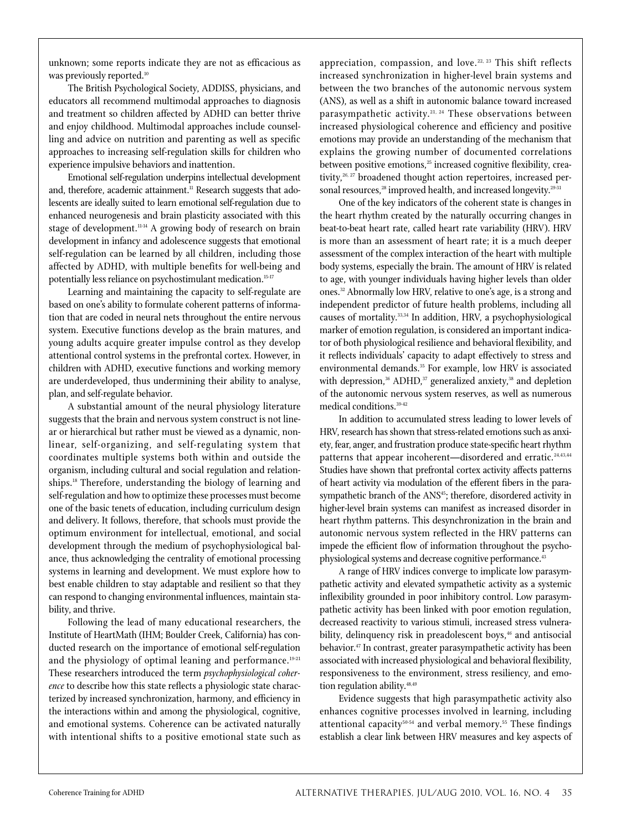unknown; some reports indicate they are not as efficacious as was previously reported.<sup>10</sup>

The British Psychological Society, ADDISS, physicians, and educators all recommend multimodal approaches to diagnosis and treatment so children affected by ADHD can better thrive and enjoy childhood. Multimodal approaches include counselling and advice on nutrition and parenting as well as specific approaches to increasing self-regulation skills for children who experience impulsive behaviors and inattention.

Emotional self-regulation underpins intellectual development and, therefore, academic attainment.<sup>11</sup> Research suggests that adolescents are ideally suited to learn emotional self-regulation due to enhanced neurogenesis and brain plasticity associated with this stage of development.<sup>11-14</sup> A growing body of research on brain development in infancy and adolescence suggests that emotional self-regulation can be learned by all children, including those affected by ADHD, with multiple benefits for well-being and potentially less reliance on psychostimulant medication.15-17

Learning and maintaining the capacity to self-regulate are based on one's ability to formulate coherent patterns of information that are coded in neural nets throughout the entire nervous system. Executive functions develop as the brain matures, and young adults acquire greater impulse control as they develop attentional control systems in the prefrontal cortex. However, in children with ADHD, executive functions and working memory are underdeveloped, thus undermining their ability to analyse, plan, and self-regulate behavior.

A substantial amount of the neural physiology literature suggests that the brain and nervous system construct is not linear or hierarchical but rather must be viewed as a dynamic, nonlinear, self-organizing, and self-regulating system that coordinates multiple systems both within and outside the organism, including cultural and social regulation and relationships.18 Therefore, understanding the biology of learning and self-regulation and how to optimize these processes must become one of the basic tenets of education, including curriculum design and delivery. It follows, therefore, that schools must provide the optimum environment for intellectual, emotional, and social development through the medium of psychophysiological balance, thus acknowledging the centrality of emotional processing systems in learning and development. We must explore how to best enable children to stay adaptable and resilient so that they can respond to changing environmental influences, maintain stability, and thrive.

Following the lead of many educational researchers, the Institute of HeartMath (IHM; Boulder Creek, California) has conducted research on the importance of emotional self-regulation and the physiology of optimal leaning and performance.<sup>19-21</sup> These researchers introduced the term *psychophysiological coherence* to describe how this state reflects a physiologic state characterized by increased synchronization, harmony, and efficiency in the interactions within and among the physiological, cognitive, and emotional systems. Coherence can be activated naturally with intentional shifts to a positive emotional state such as

appreciation, compassion, and love.<sup>22, 23</sup> This shift reflects increased synchronization in higher-level brain systems and between the two branches of the autonomic nervous system (ANS), as well as a shift in autonomic balance toward increased parasympathetic activity.<sup>21, 24</sup> These observations between increased physiological coherence and efficiency and positive emotions may provide an understanding of the mechanism that explains the growing number of documented correlations between positive emotions,<sup>25</sup> increased cognitive flexibility, creativity,<sup>26, 27</sup> broadened thought action repertoires, increased personal resources,<sup>28</sup> improved health, and increased longevity.<sup>29-31</sup>

One of the key indicators of the coherent state is changes in the heart rhythm created by the naturally occurring changes in beat-to-beat heart rate, called heart rate variability (HRV). HRV is more than an assessment of heart rate; it is a much deeper assessment of the complex interaction of the heart with multiple body systems, especially the brain. The amount of HRV is related to age, with younger individuals having higher levels than older ones.32 Abnormally low HRV, relative to one's age, is a strong and independent predictor of future health problems, including all causes of mortality.33,34 In addition, HRV, a psychophysiological marker of emotion regulation, is considered an important indicator of both physiological resilience and behavioral flexibility, and it reflects individuals' capacity to adapt effectively to stress and environmental demands.<sup>35</sup> For example, low HRV is associated with depression, $36$  ADHD, $37$  generalized anxiety, $38$  and depletion of the autonomic nervous system reserves, as well as numerous medical conditions.39-42

In addition to accumulated stress leading to lower levels of HRV, research has shown that stress-related emotions such as anxiety, fear, anger, and frustration produce state-specific heart rhythm patterns that appear incoherent-disordered and erratic.<sup>24,43,44</sup> Studies have shown that prefrontal cortex activity affects patterns of heart activity via modulation of the efferent fibers in the parasympathetic branch of the ANS<sup>45</sup>; therefore, disordered activity in higher-level brain systems can manifest as increased disorder in heart rhythm patterns. This desynchronization in the brain and autonomic nervous system reflected in the HRV patterns can impede the efficient flow of information throughout the psychophysiological systems and decrease cognitive performance.<sup>43</sup>

A range of HRV indices converge to implicate low parasympathetic activity and elevated sympathetic activity as a systemic inflexibility grounded in poor inhibitory control. Low parasympathetic activity has been linked with poor emotion regulation, decreased reactivity to various stimuli, increased stress vulnerability, delinquency risk in preadolescent boys,<sup>46</sup> and antisocial behavior.47 In contrast, greater parasympathetic activity has been associated with increased physiological and behavioral flexibility, responsiveness to the environment, stress resiliency, and emotion regulation ability.<sup>48,49</sup>

Evidence suggests that high parasympathetic activity also enhances cognitive processes involved in learning, including attentional capacity $50-54$  and verbal memory.<sup>55</sup> These findings establish a clear link between HRV measures and key aspects of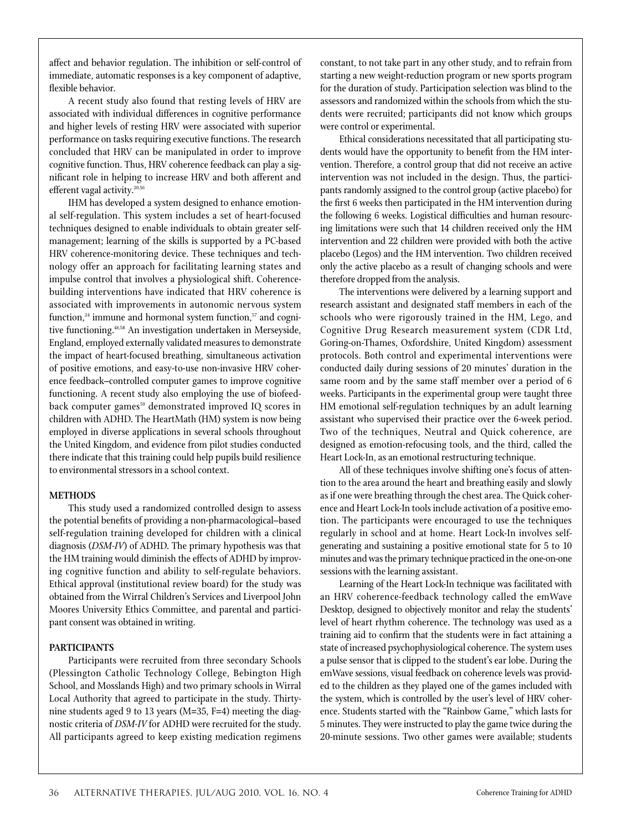affect and behavior regulation. The inhibition or self-control of immediate, automatic responses is a key component of adaptive, flexible behavior.

A recent study also found that resting levels of HRV are associated with individual differences in cognitive performance and higher levels of resting HRV were associated with superior performance on tasks requiring executive functions. The research concluded that HRV can be manipulated in order to improve cognitive function. Thus, HRV coherence feedback can play a significant role in helping to increase HRV and both afferent and efferent vagal activity.<sup>20,56</sup>

IHM has developed a system designed to enhance emotional self-regulation. This system includes a set of heart-focused techniques designed to enable individuals to obtain greater selfmanagement; learning of the skills is supported by a PC-based HRV coherence-monitoring device. These techniques and technology offer an approach for facilitating learning states and impulse control that involves a physiological shift. Coherencebuilding interventions have indicated that HRV coherence is associated with improvements in autonomic nervous system function, $24$  immune and hormonal system function, $57$  and cognitive functioning.46,58 An investigation undertaken in Merseyside, England, employed externally validated measures to demonstrate the impact of heart-focused breathing, simultaneous activation of positive emotions, and easy-to-use non-invasive HRV coherence feedback–controlled computer games to improve cognitive functioning. A recent study also employing the use of biofeedback computer games<sup>59</sup> demonstrated improved IQ scores in children with ADHD. The HeartMath (HM) system is now being employed in diverse applications in several schools throughout the United Kingdom, and evidence from pilot studies conducted there indicate that this training could help pupils build resilience to environmental stressors in a school context.

## **Methods**

This study used a randomized controlled design to assess the potential benefits of providing a non-pharmacological–based self-regulation training developed for children with a clinical diagnosis (*DSM-IV*) of ADHD. The primary hypothesis was that the HM training would diminish the effects of ADHD by improving cognitive function and ability to self-regulate behaviors. Ethical approval (institutional review board) for the study was obtained from the Wirral Children's Services and Liverpool John Moores University Ethics Committee, and parental and participant consent was obtained in writing.

## **PARTICIPANTS**

Participants were recruited from three secondary Schools (Plessington Catholic Technology College, Bebington High School, and Mosslands High) and two primary schools in Wirral Local Authority that agreed to participate in the study. Thirtynine students aged 9 to 13 years (M=35, F=4) meeting the diagnostic criteria of *DSM-IV* for ADHD were recruited for the study. All participants agreed to keep existing medication regimens

constant, to not take part in any other study, and to refrain from starting a new weight-reduction program or new sports program for the duration of study. Participation selection was blind to the assessors and randomized within the schools from which the students were recruited; participants did not know which groups were control or experimental.

Ethical considerations necessitated that all participating students would have the opportunity to benefit from the HM intervention. Therefore, a control group that did not receive an active intervention was not included in the design. Thus, the participants randomly assigned to the control group (active placebo) for the first 6 weeks then participated in the HM intervention during the following 6 weeks. Logistical difficulties and human resourcing limitations were such that 14 children received only the HM intervention and 22 children were provided with both the active placebo (Legos) and the HM intervention. Two children received only the active placebo as a result of changing schools and were therefore dropped from the analysis.

The interventions were delivered by a learning support and research assistant and designated staff members in each of the schools who were rigorously trained in the HM, Lego, and Cognitive Drug Research measurement system (CDR Ltd, Goring-on-Thames, Oxfordshire, United Kingdom) assessment protocols. Both control and experimental interventions were conducted daily during sessions of 20 minutes' duration in the same room and by the same staff member over a period of 6 weeks. Participants in the experimental group were taught three HM emotional self-regulation techniques by an adult learning assistant who supervised their practice over the 6-week period. Two of the techniques, Neutral and Quick coherence, are designed as emotion-refocusing tools, and the third, called the Heart Lock-In, as an emotional restructuring technique.

All of these techniques involve shifting one's focus of attention to the area around the heart and breathing easily and slowly as if one were breathing through the chest area. The Quick coherence and Heart Lock-In tools include activation of a positive emotion. The participants were encouraged to use the techniques regularly in school and at home. Heart Lock-In involves selfgenerating and sustaining a positive emotional state for 5 to 10 minutes and was the primary technique practiced in the one-on-one sessions with the learning assistant.

Learning of the Heart Lock-In technique was facilitated with an HRV coherence-feedback technology called the emWave Desktop, designed to objectively monitor and relay the students' level of heart rhythm coherence. The technology was used as a training aid to confirm that the students were in fact attaining a state of increased psychophysiological coherence. The system uses a pulse sensor that is clipped to the student's ear lobe. During the emWave sessions, visual feedback on coherence levels was provided to the children as they played one of the games included with the system, which is controlled by the user's level of HRV coherence. Students started with the "Rainbow Game," which lasts for 5 minutes. They were instructed to play the game twice during the 20-minute sessions. Two other games were available; students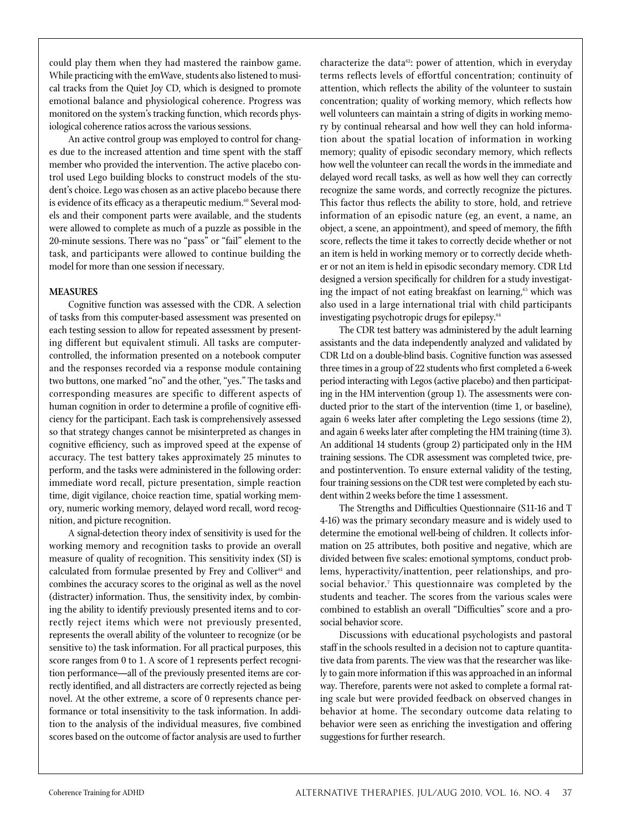could play them when they had mastered the rainbow game. While practicing with the emWave, students also listened to musical tracks from the Quiet Joy CD, which is designed to promote emotional balance and physiological coherence. Progress was monitored on the system's tracking function, which records physiological coherence ratios across the various sessions.

An active control group was employed to control for changes due to the increased attention and time spent with the staff member who provided the intervention. The active placebo control used Lego building blocks to construct models of the student's choice. Lego was chosen as an active placebo because there is evidence of its efficacy as a therapeutic medium.<sup>60</sup> Several models and their component parts were available, and the students were allowed to complete as much of a puzzle as possible in the 20-minute sessions. There was no "pass" or "fail" element to the task, and participants were allowed to continue building the model for more than one session if necessary.

## **Measures**

Cognitive function was assessed with the CDR. A selection of tasks from this computer-based assessment was presented on each testing session to allow for repeated assessment by presenting different but equivalent stimuli. All tasks are computercontrolled, the information presented on a notebook computer and the responses recorded via a response module containing two buttons, one marked "no" and the other, "yes." The tasks and corresponding measures are specific to different aspects of human cognition in order to determine a profile of cognitive efficiency for the participant. Each task is comprehensively assessed so that strategy changes cannot be misinterpreted as changes in cognitive efficiency, such as improved speed at the expense of accuracy. The test battery takes approximately 25 minutes to perform, and the tasks were administered in the following order: immediate word recall, picture presentation, simple reaction time, digit vigilance, choice reaction time, spatial working memory, numeric working memory, delayed word recall, word recognition, and picture recognition.

A signal-detection theory index of sensitivity is used for the working memory and recognition tasks to provide an overall measure of quality of recognition. This sensitivity index (SI) is calculated from formulae presented by Frey and Colliver<sup>61</sup> and combines the accuracy scores to the original as well as the novel (distracter) information. Thus, the sensitivity index, by combining the ability to identify previously presented items and to correctly reject items which were not previously presented, represents the overall ability of the volunteer to recognize (or be sensitive to) the task information. For all practical purposes, this score ranges from 0 to 1. A score of 1 represents perfect recognition performance—all of the previously presented items are correctly identified, and all distracters are correctly rejected as being novel. At the other extreme, a score of 0 represents chance performance or total insensitivity to the task information. In addition to the analysis of the individual measures, five combined scores based on the outcome of factor analysis are used to further characterize the data $62$ : power of attention, which in everyday terms reflects levels of effortful concentration; continuity of attention, which reflects the ability of the volunteer to sustain concentration; quality of working memory, which reflects how well volunteers can maintain a string of digits in working memory by continual rehearsal and how well they can hold information about the spatial location of information in working memory; quality of episodic secondary memory, which reflects how well the volunteer can recall the words in the immediate and delayed word recall tasks, as well as how well they can correctly recognize the same words, and correctly recognize the pictures. This factor thus reflects the ability to store, hold, and retrieve information of an episodic nature (eg, an event, a name, an object, a scene, an appointment), and speed of memory, the fifth score, reflects the time it takes to correctly decide whether or not an item is held in working memory or to correctly decide whether or not an item is held in episodic secondary memory. CDR Ltd designed a version specifically for children for a study investigating the impact of not eating breakfast on learning,<sup>63</sup> which was also used in a large international trial with child participants investigating psychotropic drugs for epilepsy.<sup>64</sup>

The CDR test battery was administered by the adult learning assistants and the data independently analyzed and validated by CDR Ltd on a double-blind basis. Cognitive function was assessed three times in a group of 22 students who first completed a 6-week period interacting with Legos (active placebo) and then participating in the HM intervention (group 1). The assessments were conducted prior to the start of the intervention (time 1, or baseline), again 6 weeks later after completing the Lego sessions (time 2), and again 6 weeks later after completing the HM training (time 3). An additional 14 students (group 2) participated only in the HM training sessions. The CDR assessment was completed twice, preand postintervention. To ensure external validity of the testing, four training sessions on the CDR test were completed by each student within 2 weeks before the time 1 assessment.

The Strengths and Difficulties Questionnaire (S11-16 and T 4-16) was the primary secondary measure and is widely used to determine the emotional well-being of children. It collects information on 25 attributes, both positive and negative, which are divided between five scales: emotional symptoms, conduct problems, hyperactivity/inattention, peer relationships, and prosocial behavior.<sup>7</sup> This questionnaire was completed by the students and teacher. The scores from the various scales were combined to establish an overall "Difficulties" score and a prosocial behavior score.

Discussions with educational psychologists and pastoral staff in the schools resulted in a decision not to capture quantitative data from parents. The view was that the researcher was likely to gain more information if this was approached in an informal way. Therefore, parents were not asked to complete a formal rating scale but were provided feedback on observed changes in behavior at home. The secondary outcome data relating to behavior were seen as enriching the investigation and offering suggestions for further research.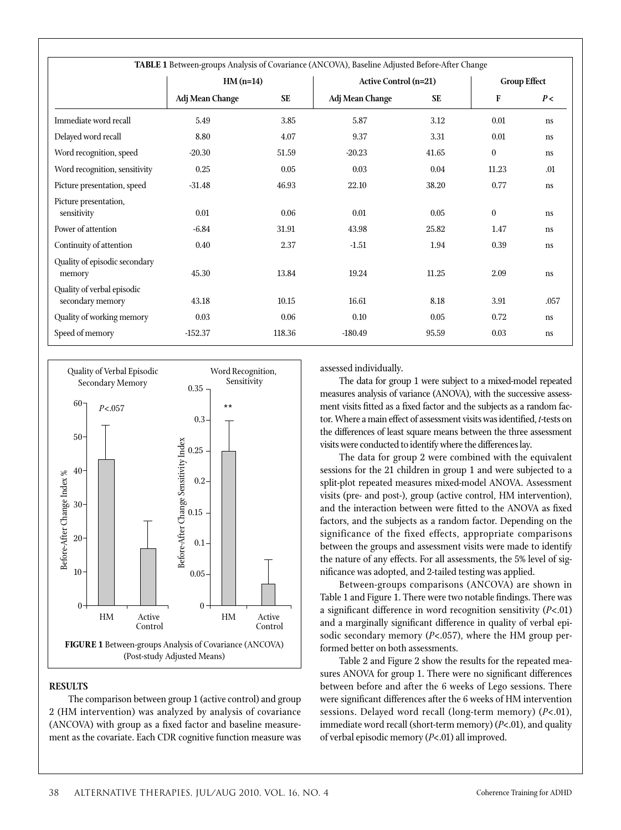| TABLE 1 Between-groups Analysis of Covariance (ANCOVA), Baseline Adjusted Before-After Change |                 |           |                              |                     |                  |               |  |  |  |  |
|-----------------------------------------------------------------------------------------------|-----------------|-----------|------------------------------|---------------------|------------------|---------------|--|--|--|--|
|                                                                                               | $HM(n=14)$      |           | <b>Active Control (n=21)</b> | <b>Group Effect</b> |                  |               |  |  |  |  |
|                                                                                               | Adj Mean Change | <b>SE</b> | Adj Mean Change              | <b>SE</b>           | $\mathbf F$      | P<            |  |  |  |  |
| Immediate word recall                                                                         | 5.49            | 3.85      | 5.87                         | 3.12                | 0.01             | <sub>ns</sub> |  |  |  |  |
| Delayed word recall                                                                           | 8.80            | 4.07      | 9.37                         | 3.31                | 0.01             | <sub>ns</sub> |  |  |  |  |
| Word recognition, speed                                                                       | $-20.30$        | 51.59     | $-20.23$                     | 41.65               | $\boldsymbol{0}$ | <sub>ns</sub> |  |  |  |  |
| Word recognition, sensitivity                                                                 | 0.25            | 0.05      | 0.03                         | 0.04                | 11.23            | .01           |  |  |  |  |
| Picture presentation, speed                                                                   | $-31.48$        | 46.93     | 22.10                        | 38.20               | 0.77             | <sub>ns</sub> |  |  |  |  |
| Picture presentation,<br>sensitivity                                                          | 0.01            | 0.06      | 0.01                         | 0.05                | $\boldsymbol{0}$ | <sub>ns</sub> |  |  |  |  |
| Power of attention                                                                            | $-6.84$         | 31.91     | 43.98                        | 25.82               | 1.47             | <sub>ns</sub> |  |  |  |  |
| Continuity of attention                                                                       | 0.40            | 2.37      | $-1.51$                      | 1.94                | 0.39             | ns            |  |  |  |  |
| Quality of episodic secondary<br>memory                                                       | 45.30           | 13.84     | 19.24                        | 11.25               | 2.09             | <sub>ns</sub> |  |  |  |  |
| Quality of verbal episodic<br>secondary memory                                                | 43.18           | 10.15     | 16.61                        | 8.18                | 3.91             | .057          |  |  |  |  |
| Quality of working memory                                                                     | 0.03            | 0.06      | 0.10                         | 0.05                | 0.72             | <sub>ns</sub> |  |  |  |  |
| Speed of memory                                                                               | $-152.37$       | 118.36    | $-180.49$                    | 95.59               | 0.03             | <sub>ns</sub> |  |  |  |  |



# **Results**

The comparison between group 1 (active control) and group 2 (HM intervention) was analyzed by analysis of covariance (ANCOVA) with group as a fixed factor and baseline measurement as the covariate. Each CDR cognitive function measure was

assessed individually.

The data for group 1 were subject to a mixed-model repeated measures analysis of variance (ANOVA), with the successive assessment visits fitted as a fixed factor and the subjects as a random factor. Where a main effect of assessment visits was identified, *t*-tests on the differences of least square means between the three assessment visits were conducted to identify where the differences lay.

The data for group 2 were combined with the equivalent sessions for the 21 children in group 1 and were subjected to a split-plot repeated measures mixed-model ANOVA. Assessment visits (pre- and post-), group (active control, HM intervention), and the interaction between were fitted to the ANOVA as fixed factors, and the subjects as a random factor. Depending on the significance of the fixed effects, appropriate comparisons between the groups and assessment visits were made to identify the nature of any effects. For all assessments, the 5% level of significance was adopted, and 2-tailed testing was applied.

Between-groups comparisons (ANCOVA) are shown in Table 1 and Figure 1. There were two notable findings. There was a significant difference in word recognition sensitivity (*P*<.01) and a marginally significant difference in quality of verbal episodic secondary memory (*P*<.057), where the HM group performed better on both assessments.

Table 2 and Figure 2 show the results for the repeated measures ANOVA for group 1. There were no significant differences between before and after the 6 weeks of Lego sessions. There were significant differences after the 6 weeks of HM intervention sessions. Delayed word recall (long-term memory) (*P*<.01), immediate word recall (short-term memory) (*P*<.01), and quality of verbal episodic memory (*P*<.01) all improved.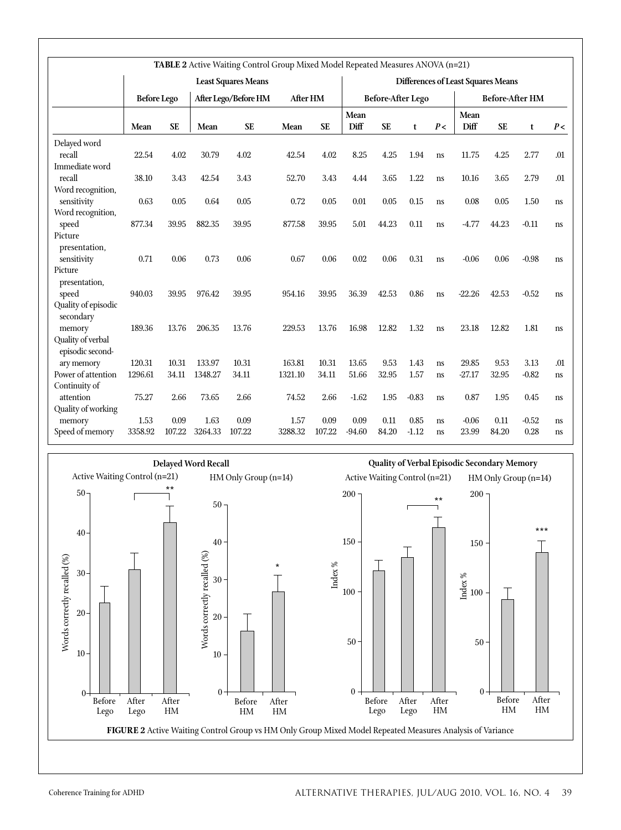| TABLE 2 Active Waiting Control Group Mixed Model Repeated Measures ANOVA (n=21) |                                            |           |          |           |                          |                                           |          |                        |         |               |          |           |         |     |
|---------------------------------------------------------------------------------|--------------------------------------------|-----------|----------|-----------|--------------------------|-------------------------------------------|----------|------------------------|---------|---------------|----------|-----------|---------|-----|
| <b>Least Squares Means</b>                                                      |                                            |           |          |           |                          | <b>Differences of Least Squares Means</b> |          |                        |         |               |          |           |         |     |
|                                                                                 | <b>Before Lego</b><br>After Lego/Before HM |           | After HM |           | <b>Before-After Lego</b> |                                           |          | <b>Before-After HM</b> |         |               |          |           |         |     |
|                                                                                 |                                            |           |          |           |                          |                                           | Mean     |                        |         |               | Mean     |           |         |     |
|                                                                                 | Mean                                       | <b>SE</b> | Mean     | <b>SE</b> | Mean                     | <b>SE</b>                                 | Diff     | <b>SE</b>              | t       | P<            | Diff     | <b>SE</b> | t       | P<  |
| Delayed word                                                                    |                                            |           |          |           |                          |                                           |          |                        |         |               |          |           |         |     |
| recall                                                                          | 22.54                                      | 4.02      | 30.79    | 4.02      | 42.54                    | 4.02                                      | 8.25     | 4.25                   | 1.94    | <sub>ns</sub> | 11.75    | 4.25      | 2.77    | .01 |
| Immediate word                                                                  |                                            |           |          |           |                          |                                           |          |                        |         |               |          |           |         |     |
| recall                                                                          | 38.10                                      | 3.43      | 42.54    | 3.43      | 52.70                    | 3.43                                      | 4.44     | 3.65                   | 1.22    | <sub>ns</sub> | 10.16    | 3.65      | 2.79    | .01 |
| Word recognition,                                                               |                                            |           |          |           |                          |                                           |          |                        |         |               |          |           |         |     |
| sensitivity                                                                     | 0.63                                       | 0.05      | 0.64     | 0.05      | 0.72                     | 0.05                                      | 0.01     | 0.05                   | 0.15    | ns            | 0.08     | 0.05      | 1.50    | ns  |
| Word recognition,                                                               |                                            |           |          |           |                          |                                           |          |                        |         |               |          |           |         |     |
| speed                                                                           | 877.34                                     | 39.95     | 882.35   | 39.95     | 877.58                   | 39.95                                     | 5.01     | 44.23                  | 0.11    | <sub>ns</sub> | $-4.77$  | 44.23     | $-0.11$ | ns  |
| Picture                                                                         |                                            |           |          |           |                          |                                           |          |                        |         |               |          |           |         |     |
| presentation,                                                                   |                                            |           |          |           |                          |                                           |          |                        |         |               |          |           |         |     |
| sensitivity                                                                     | 0.71                                       | 0.06      | 0.73     | 0.06      | 0.67                     | 0.06                                      | 0.02     | 0.06                   | 0.31    | <sub>ns</sub> | $-0.06$  | 0.06      | $-0.98$ | ns  |
| Picture                                                                         |                                            |           |          |           |                          |                                           |          |                        |         |               |          |           |         |     |
| presentation,                                                                   |                                            |           |          |           |                          |                                           |          |                        |         |               |          |           |         |     |
| speed                                                                           | 940.03                                     | 39.95     | 976.42   | 39.95     | 954.16                   | 39.95                                     | 36.39    | 42.53                  | 0.86    | ns            | $-22.26$ | 42.53     | $-0.52$ | ns  |
| Quality of episodic<br>secondary                                                |                                            |           |          |           |                          |                                           |          |                        |         |               |          |           |         |     |
| memory                                                                          | 189.36                                     | 13.76     | 206.35   | 13.76     | 229.53                   | 13.76                                     | 16.98    | 12.82                  | 1.32    | <sub>ns</sub> | 23.18    | 12.82     | 1.81    | ns  |
| Quality of verbal                                                               |                                            |           |          |           |                          |                                           |          |                        |         |               |          |           |         |     |
| episodic second-                                                                |                                            |           |          |           |                          |                                           |          |                        |         |               |          |           |         |     |
| ary memory                                                                      | 120.31                                     | 10.31     | 133.97   | 10.31     | 163.81                   | 10.31                                     | 13.65    | 9.53                   | 1.43    | <sub>ns</sub> | 29.85    | 9.53      | 3.13    | .01 |
| Power of attention                                                              | 1296.61                                    | 34.11     | 1348.27  | 34.11     | 1321.10                  | 34.11                                     | 51.66    | 32.95                  | 1.57    | ns            | $-27.17$ | 32.95     | $-0.82$ | ns  |
| Continuity of                                                                   |                                            |           |          |           |                          |                                           |          |                        |         |               |          |           |         |     |
| attention                                                                       | 75.27                                      | 2.66      | 73.65    | 2.66      | 74.52                    | 2.66                                      | $-1.62$  | 1.95                   | $-0.83$ | <sub>ns</sub> | 0.87     | 1.95      | 0.45    | ns  |
| Quality of working                                                              |                                            |           |          |           |                          |                                           |          |                        |         |               |          |           |         |     |
| memory                                                                          | 1.53                                       | 0.09      | 1.63     | 0.09      | 1.57                     | 0.09                                      | 0.09     | 0.11                   | 0.85    | ns            | $-0.06$  | 0.11      | $-0.52$ | ns  |
| Speed of memory                                                                 | 3358.92                                    | 107.22    | 3264.33  | 107.22    | 3288.32                  | 107.22                                    | $-94.60$ | 84.20                  | $-1.12$ | <sub>ns</sub> | 23.99    | 84.20     | 0.28    | ns  |
|                                                                                 |                                            |           |          |           |                          |                                           |          |                        |         |               |          |           |         |     |

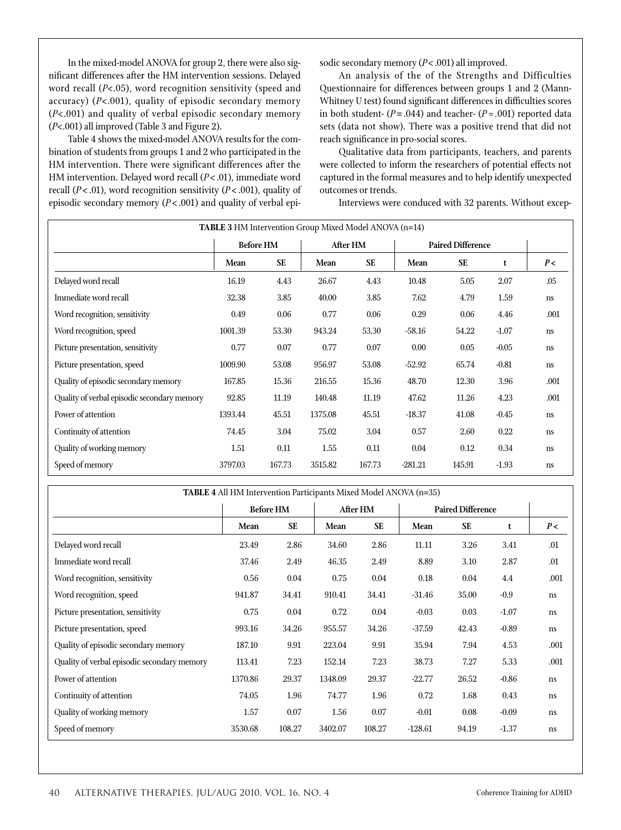In the mixed-model ANOVA for group 2, there were also significant differences after the HM intervention sessions. Delayed word recall (*P*<.05), word recognition sensitivity (speed and accuracy) (*P*<.001), quality of episodic secondary memory (*P*<.001) and quality of verbal episodic secondary memory (*P*<.001) all improved (Table 3 and Figure 2).

Table 4 shows the mixed-model ANOVA results for the combination of students from groups 1 and 2 who participated in the HM intervention. There were significant differences after the HM intervention. Delayed word recall ( $P$  < .01), immediate word recall ( $P < .01$ ), word recognition sensitivity ( $P < .001$ ), quality of episodic secondary memory (*P* < .001) and quality of verbal episodic secondary memory (*P*<.001) all improved.

An analysis of the of the Strengths and Difficulties Questionnaire for differences between groups 1 and 2 (Mann-Whitney U test) found significant differences in difficulties scores in both student-  $(P = .044)$  and teacher-  $(P = .001)$  reported data sets (data not show). There was a positive trend that did not reach significance in pro-social scores.

Qualitative data from participants, teachers, and parents were collected to inform the researchers of potential effects not captured in the formal measures and to help identify unexpected outcomes or trends.

Interviews were conduced with 32 parents. Without excep-

| <b>TABLE 3 HM Intervention Group Mixed Model ANOVA (n=14)</b> |         |                  |         |           |                          |           |         |               |  |  |
|---------------------------------------------------------------|---------|------------------|---------|-----------|--------------------------|-----------|---------|---------------|--|--|
|                                                               |         | <b>Before HM</b> |         | After HM  | <b>Paired Difference</b> |           |         |               |  |  |
|                                                               | Mean    | <b>SE</b>        | Mean    | <b>SE</b> | Mean                     | <b>SE</b> | t       | P<            |  |  |
| Delayed word recall                                           | 16.19   | 4.43             | 26.67   | 4.43      | 10.48                    | 5.05      | 2.07    | .05           |  |  |
| Immediate word recall                                         | 32.38   | 3.85             | 40.00   | 3.85      | 7.62                     | 4.79      | 1.59    | ns            |  |  |
| Word recognition, sensitivity                                 | 0.49    | 0.06             | 0.77    | 0.06      | 0.29                     | 0.06      | 4.46    | .001          |  |  |
| Word recognition, speed                                       | 1001.39 | 53.30            | 943.24  | 53.30     | $-58.16$                 | 54.22     | $-1.07$ | ns            |  |  |
| Picture presentation, sensitivity                             | 0.77    | 0.07             | 0.77    | 0.07      | 0.00                     | 0.05      | $-0.05$ | ns            |  |  |
| Picture presentation, speed                                   | 1009.90 | 53.08            | 956.97  | 53.08     | $-52.92$                 | 65.74     | $-0.81$ | ns            |  |  |
| Quality of episodic secondary memory                          | 167.85  | 15.36            | 216.55  | 15.36     | 48.70                    | 12.30     | 3.96    | .001          |  |  |
| Quality of verbal episodic secondary memory                   | 92.85   | 11.19            | 140.48  | 11.19     | 47.62                    | 11.26     | 4.23    | .001          |  |  |
| Power of attention                                            | 1393.44 | 45.51            | 1375.08 | 45.51     | $-18.37$                 | 41.08     | $-0.45$ | ns            |  |  |
| Continuity of attention                                       | 74.45   | 3.04             | 75.02   | 3.04      | 0.57                     | 2.60      | 0.22    | <sub>ns</sub> |  |  |
| Quality of working memory                                     | 1.51    | 0.11             | 1.55    | 0.11      | 0.04                     | 0.12      | 0.34    | ns            |  |  |
| Speed of memory                                               | 3797.03 | 167.73           | 3515.82 | 167.73    | $-281.21$                | 145.91    | $-1.93$ | ns            |  |  |

| <b>TABLE 4</b> All HM Intervention Participants Mixed Model ANOVA (n=35) |         |                  |         |           |                          |           |         |               |  |  |
|--------------------------------------------------------------------------|---------|------------------|---------|-----------|--------------------------|-----------|---------|---------------|--|--|
|                                                                          |         | <b>Before HM</b> |         | After HM  | <b>Paired Difference</b> |           |         |               |  |  |
|                                                                          | Mean    | <b>SE</b>        | Mean    | <b>SE</b> | Mean                     | <b>SE</b> | t       | P<            |  |  |
| Delayed word recall                                                      | 23.49   | 2.86             | 34.60   | 2.86      | 11.11                    | 3.26      | 3.41    | .01           |  |  |
| Immediate word recall                                                    | 37.46   | 2.49             | 46.35   | 2.49      | 8.89                     | 3.10      | 2.87    | .01           |  |  |
| Word recognition, sensitivity                                            | 0.56    | 0.04             | 0.75    | 0.04      | 0.18                     | 0.04      | 4.4     | .001          |  |  |
| Word recognition, speed                                                  | 941.87  | 34.41            | 910.41  | 34.41     | $-31.46$                 | 35.00     | $-0.9$  | <sub>ns</sub> |  |  |
| Picture presentation, sensitivity                                        | 0.75    | 0.04             | 0.72    | 0.04      | $-0.03$                  | 0.03      | $-1.07$ | <sub>ns</sub> |  |  |
| Picture presentation, speed                                              | 993.16  | 34.26            | 955.57  | 34.26     | $-37.59$                 | 42.43     | $-0.89$ | <sub>ns</sub> |  |  |
| Quality of episodic secondary memory                                     | 187.10  | 9.91             | 223.04  | 9.91      | 35.94                    | 7.94      | 4.53    | .001          |  |  |
| Quality of verbal episodic secondary memory                              | 113.41  | 7.23             | 152.14  | 7.23      | 38.73                    | 7.27      | 5.33    | .001          |  |  |
| Power of attention                                                       | 1370.86 | 29.37            | 1348.09 | 29.37     | $-22.77$                 | 26.52     | $-0.86$ | ns            |  |  |
| Continuity of attention                                                  | 74.05   | 1.96             | 74.77   | 1.96      | 0.72                     | 1.68      | 0.43    | <sub>ns</sub> |  |  |
| Quality of working memory                                                | 1.57    | 0.07             | 1.56    | 0.07      | $-0.01$                  | 0.08      | $-0.09$ | <sub>ns</sub> |  |  |
| Speed of memory                                                          | 3530.68 | 108.27           | 3402.07 | 108.27    | $-128.61$                | 94.19     | $-1.37$ | <sub>ns</sub> |  |  |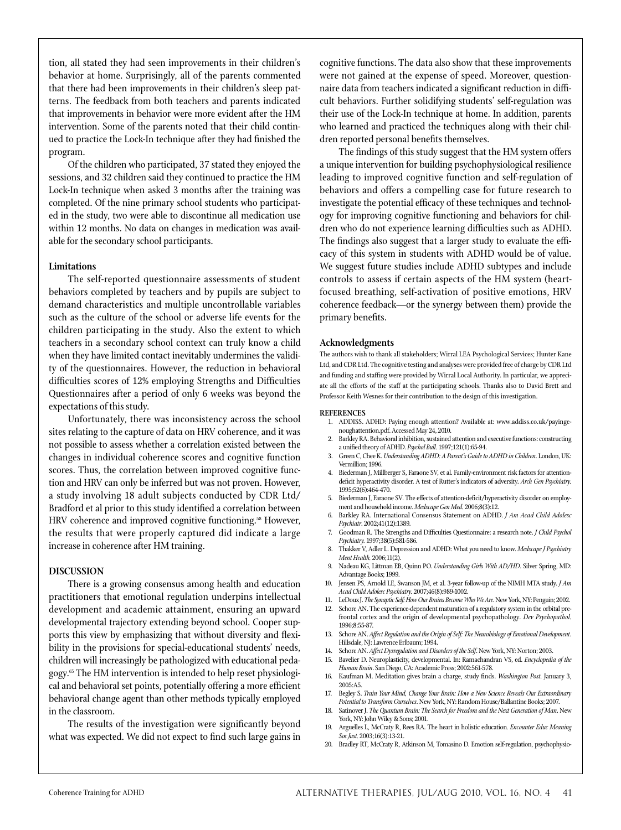tion, all stated they had seen improvements in their children's behavior at home. Surprisingly, all of the parents commented that there had been improvements in their children's sleep patterns. The feedback from both teachers and parents indicated that improvements in behavior were more evident after the HM intervention. Some of the parents noted that their child continued to practice the Lock-In technique after they had finished the program.

Of the children who participated, 37 stated they enjoyed the sessions, and 32 children said they continued to practice the HM Lock-In technique when asked 3 months after the training was completed. Of the nine primary school students who participated in the study, two were able to discontinue all medication use within 12 months. No data on changes in medication was available for the secondary school participants.

### **Limitations**

The self-reported questionnaire assessments of student behaviors completed by teachers and by pupils are subject to demand characteristics and multiple uncontrollable variables such as the culture of the school or adverse life events for the children participating in the study. Also the extent to which teachers in a secondary school context can truly know a child when they have limited contact inevitably undermines the validity of the questionnaires. However, the reduction in behavioral difficulties scores of 12% employing Strengths and Difficulties Questionnaires after a period of only 6 weeks was beyond the expectations of this study.

Unfortunately, there was inconsistency across the school sites relating to the capture of data on HRV coherence, and it was not possible to assess whether a correlation existed between the changes in individual coherence scores and cognitive function scores. Thus, the correlation between improved cognitive function and HRV can only be inferred but was not proven. However, a study involving 18 adult subjects conducted by CDR Ltd/ Bradford et al prior to this study identified a correlation between HRV coherence and improved cognitive functioning.<sup>58</sup> However, the results that were properly captured did indicate a large increase in coherence after HM training.

#### **Discussion**

There is a growing consensus among health and education practitioners that emotional regulation underpins intellectual development and academic attainment, ensuring an upward developmental trajectory extending beyond school. Cooper supports this view by emphasizing that without diversity and flexibility in the provisions for special-educational students' needs, children will increasingly be pathologized with educational pedagogy.65 The HM intervention is intended to help reset physiological and behavioral set points, potentially offering a more efficient behavioral change agent than other methods typically employed in the classroom.

The results of the investigation were significantly beyond what was expected. We did not expect to find such large gains in cognitive functions. The data also show that these improvements were not gained at the expense of speed. Moreover, questionnaire data from teachers indicated a significant reduction in difficult behaviors. Further solidifying students' self-regulation was their use of the Lock-In technique at home. In addition, parents who learned and practiced the techniques along with their children reported personal benefits themselves.

The findings of this study suggest that the HM system offers a unique intervention for building psychophysiological resilience leading to improved cognitive function and self-regulation of behaviors and offers a compelling case for future research to investigate the potential efficacy of these techniques and technology for improving cognitive functioning and behaviors for children who do not experience learning difficulties such as ADHD. The findings also suggest that a larger study to evaluate the efficacy of this system in students with ADHD would be of value. We suggest future studies include ADHD subtypes and include controls to assess if certain aspects of the HM system (heartfocused breathing, self-activation of positive emotions, HRV coherence feedback—or the synergy between them) provide the primary benefits.

#### **Acknowledgments**

The authors wish to thank all stakeholders; Wirral LEA Psychological Services; Hunter Kane Ltd, and CDR Ltd. The cognitive testing and analyses were provided free of charge by CDR Ltd and funding and staffing were provided by Wirral Local Authority. In particular, we appreciate all the efforts of the staff at the participating schools. Thanks also to David Brett and Professor Keith Wesnes for their contribution to the design of this investigation.

#### **References**

- 1. ADDISS. ADHD: Paying enough attention? Available at: www.addiss.co.uk/payingenoughattention.pdf. Accessed May 24, 2010.
- 2. Barkley RA. Behavioral inhibition, sustained attention and executive functions: constructing a unified theory of ADHD. *Psychol Bull.* 1997;121(1):65-94.
- 3. Green C, Chee K. *Understanding ADHD: A Parent's Guide to ADHD in Children*. London, UK: Vermillion; 1996.
- 4. Biederman J, Millberger S, Faraone SV, et al. Family-environment risk factors for attentiondeficit hyperactivity disorder. A test of Rutter's indicators of adversity. *Arch Gen Psychiatry.* 1995;52(6):464-470.
- 5. Biederman J, Faraone SV. The effects of attention-deficit/hyperactivity disorder on employment and household income. *Medscape Gen Med.* 2006;8(3):12.
- 6. Barkley RA. International Consensus Statement on ADHD. *J Am Acad Child Adolesc Psychiatr*. 2002;41(12):1389.
- 7. Goodman R. The Strengths and Difficulties Questionnaire: a research note. *J Child Psychol Psychiatry.* 1997;38(5):581-586.
- 8. Thakker V, Adler L. Depression and ADHD: What you need to know. *Medscape J Psychiatry Ment Health.* 2006;11(2).
- 9. Nadeau KG, Littman EB, Quinn PO. *Understanding Girls With AD/HD*. Silver Spring, MD: Advantage Books; 1999.
- 10. Jensen PS, Arnold LE, Swanson JM, et al. 3-year follow-up of the NIMH MTA study. *J Am Acad Child Adolesc Psychiatry.* 2007;46(8):989-1002.
- 11. LeDoux J. *The Synaptic Self: How Our Brains Become Who We Are*. New York, NY: Penguin; 2002.
- 12. Schore AN. The experience-dependent maturation of a regulatory system in the orbital prefrontal cortex and the origin of developmental psychopathology. *Dev Psychopathol.* 1996;8:55-87.
- 13. Schore AN. *Affect Regulation and the Origin of Self: The Neurobiology of Emotional Development*. Hillsdale, NJ: Lawrence Erlbaum; 1994.
- 14. Schore AN. *Affect Dysregulation and Disorders of the Self*. New York, NY: Norton; 2003.
- 15. Bavelier D. Neuroplasticity, developmental. In: Ramachandran VS, ed. *Encyclopedia of the Human Brain*. San Diego, CA: Academic Press; 2002:561-578.
- 16. Kaufman M. Meditation gives brain a charge, study finds. *Washington Post.* January 3, 2005:A5.
- 17. Begley S. *Train Your Mind, Change Your Brain: How a New Science Reveals Our Extraordinary Potential to Transform Ourselves*. New York, NY: Random House/Ballantine Books; 2007.
- 18. Satinover J. *The Quantum Brain: The Search for Freedom and the Next Generation of Man*. New York, NY: John Wiley & Sons; 2001.
- 19. Arguelles L, McCraty R, Rees RA. The heart in holistic education*. Encounter Educ Meaning Soc Just.* 2003;16(3):13-21.
- 20. Bradley RT, McCraty R, Atkinson M, Tomasino D. Emotion self-regulation, psychophysio-